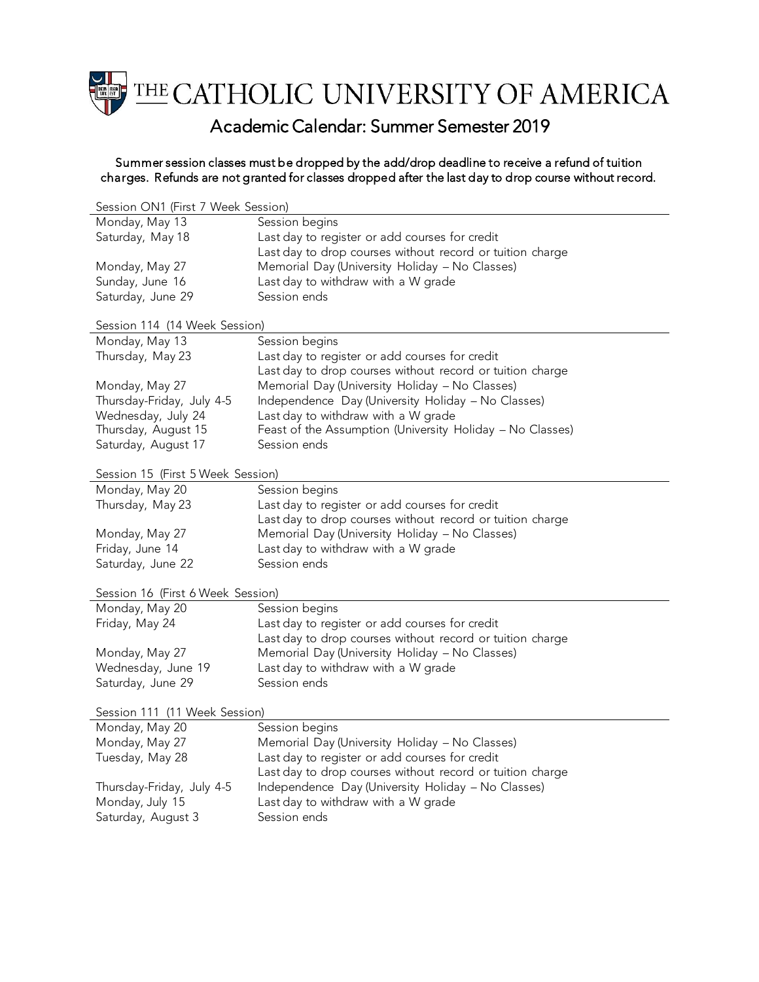

## Academic Calendar: Summer Semester 2019

## Summer session classes must be dropped by the add/drop deadline to receive a refund of tuition charges. Refunds are not granted for classes dropped after the last day to drop course without record.

| Session ON1 (First 7 Week Session) |                                                           |  |
|------------------------------------|-----------------------------------------------------------|--|
| Monday, May 13                     | Session begins                                            |  |
| Saturday, May 18                   | Last day to register or add courses for credit            |  |
|                                    | Last day to drop courses without record or tuition charge |  |
| Monday, May 27                     | Memorial Day (University Holiday - No Classes)            |  |
| Sunday, June 16                    | Last day to withdraw with a W grade                       |  |
| Saturday, June 29                  | Session ends                                              |  |
| Session 114 (14 Week Session)      |                                                           |  |
| Monday, May 13                     | Session begins                                            |  |
| Thursday, May 23                   | Last day to register or add courses for credit            |  |
|                                    | Last day to drop courses without record or tuition charge |  |
| Monday, May 27                     | Memorial Day (University Holiday - No Classes)            |  |
| Thursday-Friday, July 4-5          | Independence Day (University Holiday - No Classes)        |  |
| Wednesday, July 24                 | Last day to withdraw with a W grade                       |  |
| Thursday, August 15                | Feast of the Assumption (University Holiday - No Classes) |  |
| Saturday, August 17                | Session ends                                              |  |
|                                    |                                                           |  |
| Session 15 (First 5 Week Session)  |                                                           |  |
| Monday, May 20                     | Session begins                                            |  |
| Thursday, May 23                   | Last day to register or add courses for credit            |  |
|                                    | Last day to drop courses without record or tuition charge |  |
| Monday, May 27                     | Memorial Day (University Holiday - No Classes)            |  |
| Friday, June 14                    | Last day to withdraw with a W grade                       |  |
| Saturday, June 22                  | Session ends                                              |  |
|                                    |                                                           |  |
| Session 16 (First 6 Week Session)  |                                                           |  |
| Monday, May 20                     | Session begins                                            |  |
| Friday, May 24                     | Last day to register or add courses for credit            |  |
|                                    | Last day to drop courses without record or tuition charge |  |
| Monday, May 27                     | Memorial Day (University Holiday - No Classes)            |  |
| Wednesday, June 19                 | Last day to withdraw with a W grade                       |  |
| Saturday, June 29                  | Session ends                                              |  |
| Session 111 (11 Week Session)      |                                                           |  |
| Monday, May 20                     | Session begins                                            |  |
| Monday, May 27                     | Memorial Day (University Holiday - No Classes)            |  |
| Tuesday, May 28                    | Last day to register or add courses for credit            |  |
|                                    | Last day to drop courses without record or tuition charge |  |
| Thursday-Friday, July 4-5          | Independence Day (University Holiday - No Classes)        |  |
| Monday, July 15                    | Last day to withdraw with a W grade                       |  |
| Saturday, August 3                 | Session ends                                              |  |
|                                    |                                                           |  |